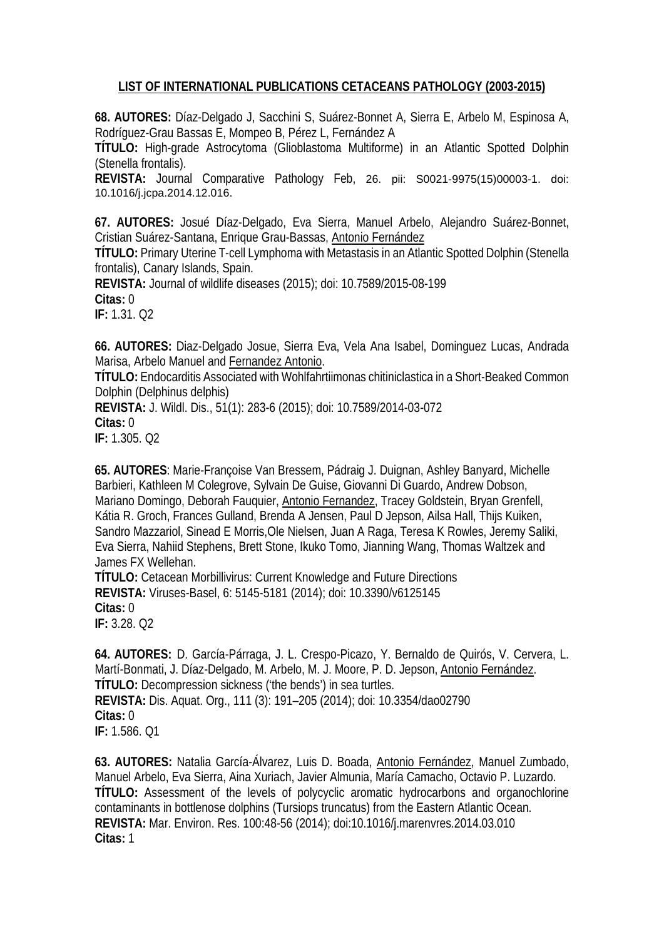## **LIST OF INTERNATIONAL PUBLICATIONS CETACEANS PATHOLOGY (2003-2015)**

**68. AUTORES:** [Díaz-Delgado J,](http://www.ncbi.nlm.nih.gov/pubmed/?term=D%C3%ADaz-Delgado%20J%5BAuthor%5D&cauthor=true&cauthor_uid=25728810) [Sacchini S,](http://www.ncbi.nlm.nih.gov/pubmed/?term=Sacchini%20S%5BAuthor%5D&cauthor=true&cauthor_uid=25728810) [Suárez-Bonnet A,](http://www.ncbi.nlm.nih.gov/pubmed/?term=Su%C3%A1rez-Bonnet%20A%5BAuthor%5D&cauthor=true&cauthor_uid=25728810) [Sierra E,](http://www.ncbi.nlm.nih.gov/pubmed/?term=Sierra%20E%5BAuthor%5D&cauthor=true&cauthor_uid=25728810) [Arbelo M,](http://www.ncbi.nlm.nih.gov/pubmed/?term=Arbelo%20M%5BAuthor%5D&cauthor=true&cauthor_uid=25728810) [Espinosa A,](http://www.ncbi.nlm.nih.gov/pubmed/?term=Espinosa%20A%5BAuthor%5D&cauthor=true&cauthor_uid=25728810) [Rodríguez-Grau Bassas E,](http://www.ncbi.nlm.nih.gov/pubmed/?term=Rodr%C3%ADguez-Grau%20Bassas%20E%5BAuthor%5D&cauthor=true&cauthor_uid=25728810) [Mompeo B,](http://www.ncbi.nlm.nih.gov/pubmed/?term=Mompeo%20B%5BAuthor%5D&cauthor=true&cauthor_uid=25728810) [Pérez L,](http://www.ncbi.nlm.nih.gov/pubmed/?term=P%C3%A9rez%20L%5BAuthor%5D&cauthor=true&cauthor_uid=25728810) [Fernández A](http://www.ncbi.nlm.nih.gov/pubmed/?term=Fern%C3%A1ndez%20A%5BAuthor%5D&cauthor=true&cauthor_uid=25728810)

**TÍTULO:** High-grade Astrocytoma (Glioblastoma Multiforme) in an Atlantic Spotted Dolphin (Stenella frontalis).

**REVISTA:** Journal Comparative Pathology Feb, 26. pii: S0021-9975(15)00003-1. doi: 10.1016/j.jcpa.2014.12.016.

**67. AUTORES:** Josué Díaz-Delgado, Eva Sierra, Manuel Arbelo, Alejandro Suárez-Bonnet, Cristian Suárez-Santana, Enrique Grau-Bassas, Antonio Fernández

**TÍTULO:** Primary Uterine T-cell Lymphoma with Metastasis in an Atlantic Spotted Dolphin (Stenella frontalis), Canary Islands, Spain.

**REVISTA:** Journal of wildlife diseases (2015); doi: 10.7589/2015-08-199 **Citas:** 0

**IF:** 1.31. Q2

**66. AUTORES:** Diaz-Delgado Josue, Sierra Eva, Vela Ana Isabel, Dominguez Lucas, Andrada Marisa, Arbelo Manuel and Fernandez Antonio.

**TÍTULO:** Endocarditis Associated with Wohlfahrtiimonas chitiniclastica in a Short-Beaked Common Dolphin (Delphinus delphis)

**REVISTA:** J. Wildl. Dis., 51(1): 283-6 (2015); doi: 10.7589/2014-03-072

**Citas:** 0

**IF:** 1.305. Q2

**65. AUTORES**: Marie-Françoise Van Bressem, Pádraig J. Duignan, Ashley Banyard, Michelle Barbieri, Kathleen M Colegrove, Sylvain De Guise, Giovanni Di Guardo, Andrew Dobson, Mariano Domingo, Deborah Fauquier, Antonio Fernandez, Tracey Goldstein, Bryan Grenfell, Kátia R. Groch, Frances Gulland, Brenda A Jensen, Paul D Jepson, Ailsa Hall, Thijs Kuiken, Sandro Mazzariol, Sinead E Morris,Ole Nielsen, Juan A Raga, Teresa K Rowles, Jeremy Saliki, Eva Sierra, Nahiid Stephens, Brett Stone, Ikuko Tomo, Jianning Wang, Thomas Waltzek and James FX Wellehan.

**TÍTULO:** Cetacean Morbillivirus: Current Knowledge and Future Directions **REVISTA:** Viruses-Basel, 6: 5145-5181 (2014); doi: 10.3390/v6125145 **Citas:** 0 **IF:** 3.28. Q2

**64. AUTORES:** D. García-Párraga, J. L. Crespo-Picazo, Y. Bernaldo de Quirós, V. Cervera, L. Martí-Bonmati, J. Díaz-Delgado, M. Arbelo, M. J. Moore, P. D. Jepson, Antonio Fernández. **TÍTULO:** Decompression sickness ('the bends') in sea turtles. **REVISTA:** Dis. Aquat. Org., 111 (3): 191–205 (2014); doi: 10.3354/dao02790 **Citas:** 0 **IF:** 1.586. Q1

**63. AUTORES:** Natalia García-Álvarez, Luis D. Boada, Antonio Fernández, Manuel Zumbado, Manuel Arbelo, Eva Sierra, Aina Xuriach, Javier Almunia, María Camacho, Octavio P. Luzardo. **TÍTULO:** Assessment of the levels of polycyclic aromatic hydrocarbons and organochlorine contaminants in bottlenose dolphins (Tursiops truncatus) from the Eastern Atlantic Ocean. **REVISTA:** Mar. Environ. Res. 100:48-56 (2014); doi:10.1016/j.marenvres.2014.03.010 **Citas:** 1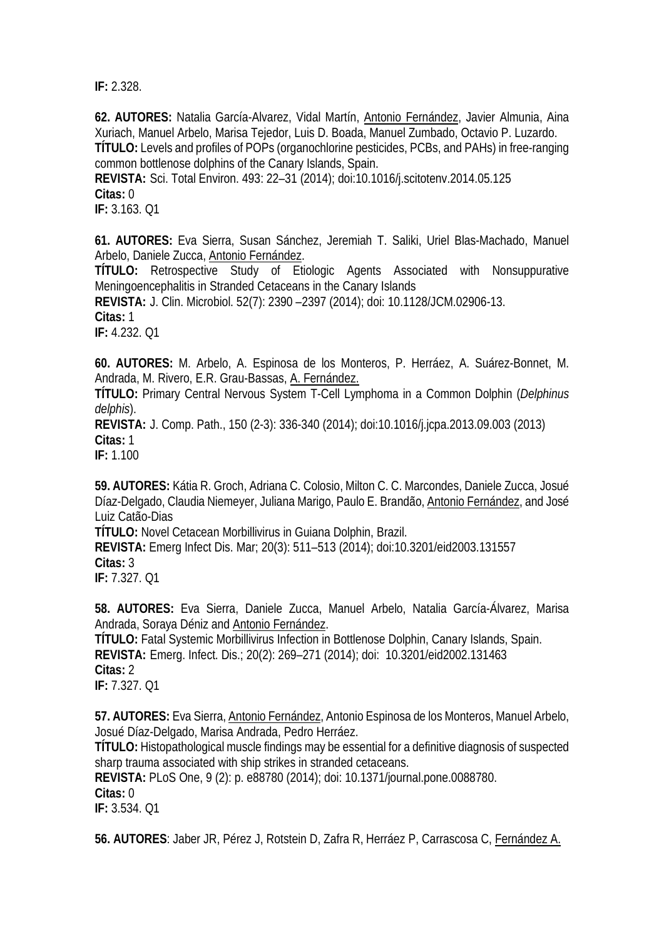**IF:** 2.328.

**62. AUTORES:** Natalia García-Alvarez, Vidal Martín, Antonio Fernández, Javier Almunia, Aina Xuriach, Manuel Arbelo, Marisa Tejedor, Luis D. Boada, Manuel Zumbado, Octavio P. Luzardo. **TÍTULO:** Levels and profiles of POPs (organochlorine pesticides, PCBs, and PAHs) in free-ranging common bottlenose dolphins of the Canary Islands, Spain.

**REVISTA:** Sci. Total Environ. 493: 22–31 (2014); doi:10.1016/j.scitotenv.2014.05.125 **Citas:** 0

**IF:** 3.163. Q1

**61. AUTORES:** Eva Sierra, Susan Sánchez, Jeremiah T. Saliki, Uriel Blas-Machado, Manuel Arbelo, Daniele Zucca, Antonio Fernández.

**TÍTULO:** Retrospective Study of Etiologic Agents Associated with Nonsuppurative Meningoencephalitis in Stranded Cetaceans in the Canary Islands

**REVISTA:** J. Clin. Microbiol. 52(7): 2390 –2397 (2014); doi: 10.1128/JCM.02906-13.

**Citas:** 1

**IF:** 4.232. Q1

**60. AUTORES:** M. Arbelo, A. Espinosa de los Monteros, P. Herráez, A. Suárez-Bonnet, M. Andrada, M. Rivero, E.R. Grau-Bassas, A. Fernández.

**TÍTULO:** Primary Central Nervous System T-Cell Lymphoma in a Common Dolphin (*Delphinus delphis*).

**REVISTA:** J. Comp. Path., 150 (2-3): 336-340 (2014); doi:10.1016/j.jcpa.2013.09.003 (2013) **Citas:** 1

**IF:** 1.100

**59. AUTORES:** Kátia R. Groch, Adriana C. Colosio, Milton C. C. Marcondes, Daniele Zucca, Josué Díaz-Delgado, Claudia Niemeyer, Juliana Marigo, Paulo E. Brandão, Antonio Fernández, and José Luiz Catão-Dias

**TÍTULO:** Novel Cetacean Morbillivirus in Guiana Dolphin, Brazil.

**REVISTA:** Emerg Infect Dis. Mar; 20(3): 511–513 (2014); doi:10.3201/eid2003.131557 **Citas:** 3

**IF:** 7.327. Q1

**58. AUTORES:** Eva Sierra, Daniele Zucca, Manuel Arbelo, Natalia García-Álvarez, Marisa Andrada, Soraya Déniz and Antonio Fernández.

**TÍTULO:** Fatal Systemic Morbillivirus Infection in Bottlenose Dolphin, Canary Islands, Spain. **REVISTA:** Emerg. Infect. Dis.; 20(2): 269–271 (2014); doi: 10.3201/eid2002.131463 **Citas:** 2 **IF:** 7.327. Q1

**57. AUTORES:** Eva Sierra, Antonio Fernández, Antonio Espinosa de los Monteros, Manuel Arbelo, Josué Díaz-Delgado, Marisa Andrada, Pedro Herráez.

**TÍTULO:** Histopathological muscle findings may be essential for a definitive diagnosis of suspected sharp trauma associated with ship strikes in stranded cetaceans.

**REVISTA:** PLoS One, 9 (2): p. e88780 (2014); doi: 10.1371/journal.pone.0088780.

## **Citas:** 0

**IF:** 3.534. Q1

**56. AUTORES**: Jaber JR, Pérez J, Rotstein D, Zafra R, Herráez P, Carrascosa C, Fernández A.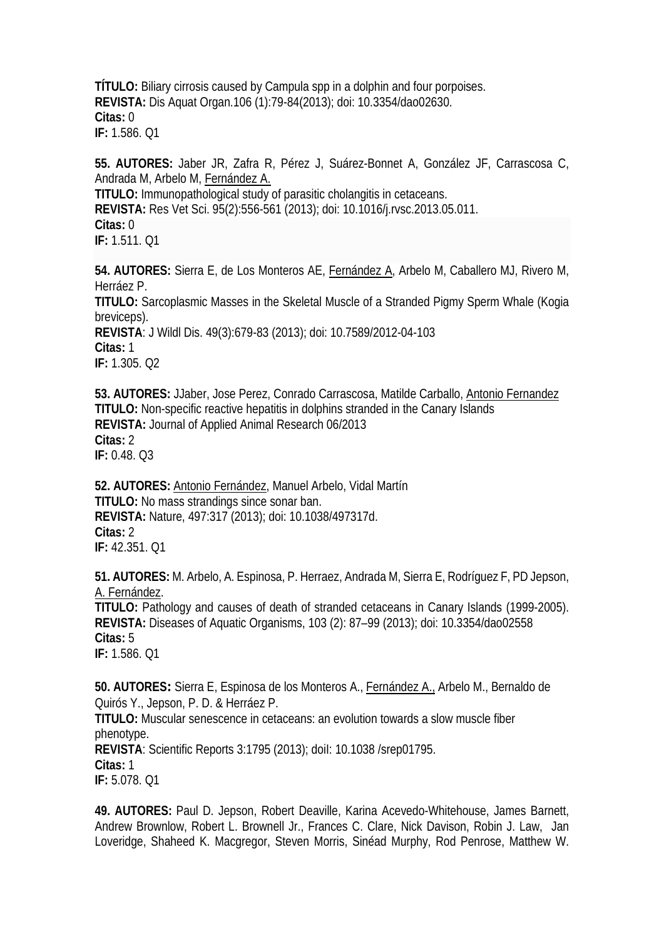**TÍTULO:** Biliary cirrosis caused by Campula spp in a dolphin and four porpoises. **REVISTA:** Dis Aquat Organ.106 (1):79-84(2013); doi: 10.3354/dao02630. **Citas:** 0 **IF:** 1.586. Q1

**55. AUTORES:** Jaber JR, Zafra R, Pérez J, Suárez-Bonnet A, González JF, Carrascosa C, Andrada M, Arbelo M, Fernández A. **TITULO:** [Immunopathological study of parasitic cholangitis in cetaceans.](http://www.ncbi.nlm.nih.gov/pubmed/23809732) **REVISTA:** Res Vet Sci. 95(2):556-561 (2013); doi: 10.1016/j.rvsc.2013.05.011. **Citas:** 0 **IF:** 1.511. Q1

**54. AUTORES:** [Sierra](http://www.ncbi.nlm.nih.gov/pubmed?term=Sierra%20E%5BAuthor%5D&cauthor=true&cauthor_uid=23778621) E, [de Los Monteros AE,](http://www.ncbi.nlm.nih.gov/pubmed?term=de%20Los%20Monteros%20AE%5BAuthor%5D&cauthor=true&cauthor_uid=23778621) [Fernández A,](http://www.ncbi.nlm.nih.gov/pubmed?term=Fern%C3%A1ndez%20A%5BAuthor%5D&cauthor=true&cauthor_uid=23778621) [Arbelo M,](http://www.ncbi.nlm.nih.gov/pubmed?term=Arbelo%20M%5BAuthor%5D&cauthor=true&cauthor_uid=23778621) [Caballero MJ,](http://www.ncbi.nlm.nih.gov/pubmed?term=Caballero%20MJ%5BAuthor%5D&cauthor=true&cauthor_uid=23778621) [Rivero M,](http://www.ncbi.nlm.nih.gov/pubmed?term=Rivero%20M%5BAuthor%5D&cauthor=true&cauthor_uid=23778621) [Herráez P.](http://www.ncbi.nlm.nih.gov/pubmed?term=Herr%C3%A1ez%20P%5BAuthor%5D&cauthor=true&cauthor_uid=23778621)

**TITULO:** Sarcoplasmic Masses in the Skeletal Muscle of a Stranded Pigmy Sperm Whale (Kogia breviceps).

**REVISTA**: [J Wildl Dis.](http://www.ncbi.nlm.nih.gov/pubmed/?term=Sarcoplasmic+masses+Sierra) 49(3):679-83 (2013); doi: 10.7589/2012-04-103 **Citas:** 1 **IF:** 1.305. Q2

**53. AUTORES:** JJaber, Jose Perez, Conrado Carrascosa, Matilde Carballo, Antonio Fernandez **TITULO:** Non-specific reactive hepatitis in dolphins stranded in the Canary Islands **REVISTA:** Journal of Applied Animal Research 06/2013 **Citas:** 2 **IF:** 0.48. Q3

**52. AUTORES:** Antonio Fernández, Manuel Arbelo, Vidal Martín **TITULO:** No mass strandings since sonar ban. **REVISTA:** Nature, 497:317 (2013); doi: 10.1038/497317d. **Citas:** 2 **IF:** 42.351. Q1

**51. AUTORES:** M. Arbelo, A. Espinosa, P. Herraez, Andrada M, Sierra E, Rodríguez F, PD Jepson, A. Fernández.

**TITULO:** Pathology and causes of death of stranded cetaceans in Canary Islands (1999-2005). **REVISTA:** Diseases of Aquatic Organisms, 103 (2): 87–99 (2013); doi: 10.3354/dao02558 **Citas:** 5

**IF:** 1.586. Q1

**50. AUTORES:** Sierra E, Espinosa de los Monteros A., Fernández A., Arbelo M., Bernaldo de Quirós Y., Jepson, P. D. & Herráez P.

**TITULO:** Muscular senescence in cetaceans: an evolution towards a slow muscle fiber phenotype.

**REVISTA**: Scientific Reports 3:1795 (2013); doiI: 10.1038 /srep01795.

**Citas:** 1

**IF:** 5.078. Q1

**49. AUTORES:** Paul D. Jepson, Robert Deaville, Karina Acevedo-Whitehouse, James Barnett, Andrew Brownlow, Robert L. Brownell Jr., Frances C. Clare, Nick Davison, Robin J. Law, Jan Loveridge, Shaheed K. Macgregor, Steven Morris, Sinéad Murphy, Rod Penrose, Matthew W.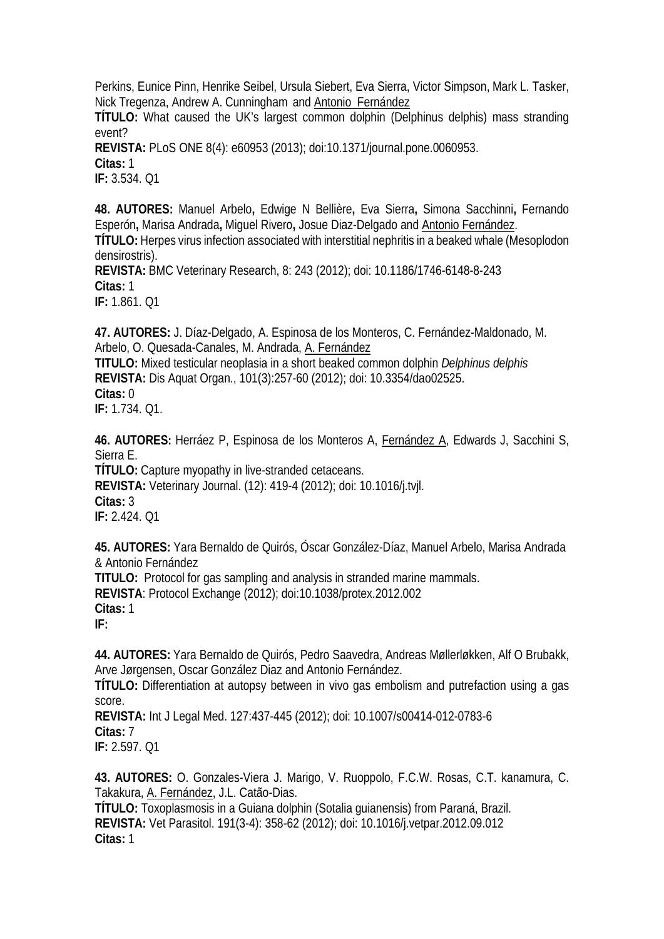Perkins, Eunice Pinn, Henrike Seibel, Ursula Siebert, Eva Sierra, Victor Simpson, Mark L. Tasker, Nick Tregenza, Andrew A. Cunningham and Antonio Fernández

**TÍTULO:** What caused the UK's largest common dolphin (Delphinus delphis) mass stranding event?

**REVISTA:** PLoS ONE 8(4): e60953 (2013); doi:10.1371/journal.pone.0060953.

**Citas:** 1

**IF:** 3.534. Q1

**48. AUTORES:** Manuel Arbelo**,** Edwige N Bellière**,** Eva Sierra**,** Simona Sacchinni**,** Fernando Esperón**,** Marisa Andrada**,** Miguel Rivero**,** Josue Diaz-Delgado and Antonio Fernández.

**TÍTULO:** Herpes virus infection associated with interstitial nephritis in a beaked whale (Mesoplodon densirostris).

**REVISTA:** BMC Veterinary Research, 8: 243 (2012); doi: 10.1186/1746-6148-8-243 **Citas:** 1

**IF:** 1.861. Q1

**47. AUTORES:** J. Díaz-Delgado, A. Espinosa de los Monteros, C. Fernández-Maldonado, M. Arbelo, O. Quesada-Canales, M. Andrada, A. Fernández

**TITULO:** Mixed testicular neoplasia in a short beaked common dolphin *Delphinus delphis* **REVISTA:** Dis Aquat Organ., 101(3):257-60 (2012); doi: 10.3354/dao02525. **Citas:** 0

**IF:** 1.734. Q1.

**46. AUTORES:** Herráez P, Espinosa de los Monteros A, Fernández A, Edwards J, Sacchini S, Sierra E.

**TÍTULO:** Capture myopathy in live-stranded cetaceans.

**REVISTA:** Veterinary Journal. (12): 419-4 (2012); doi: 10.1016/j.tvjl. **Citas:** 3 **IF:** 2.424. Q1

**45. AUTORES:** [Yara Bernaldo de Quirós,](javascript:;) [Óscar González-Díaz,](javascript:;) [Manuel Arbelo,](javascript:;) [Marisa Andrada](javascript:;) & [Antonio Fernández](javascript:;) **TITULO:** Protocol for gas sampling and analysis in stranded marine mammals. **REVISTA**: Protocol Exchange (2012); doi:10.1038/protex.2012.002

**Citas:** 1

**IF:**

**44. AUTORES:** Yara Bernaldo de Quirós, Pedro Saavedra, Andreas Møllerløkken, Alf O Brubakk, Arve Jørgensen, Oscar González Diaz and Antonio Fernández.

**TÍTULO:** Differentiation at autopsy between in vivo gas embolism and putrefaction using a gas score.

**REVISTA:** Int J Legal Med. 127:437-445 (2012); doi: 10.1007/s00414-012-0783-6 **Citas:** 7 **IF:** 2.597. Q1

**43. AUTORES:** O. Gonzales-Viera J. Marigo, V. Ruoppolo, F.C.W. Rosas, C.T. kanamura, C. Takakura, A. Fernández, J.L. Catão-Dias.

**TÍTULO:** Toxoplasmosis in a Guiana dolphin (Sotalia guianensis) from Paraná, Brazil. **REVISTA:** Vet Parasitol. 191(3-4): 358-62 (2012); doi: 10.1016/j.vetpar.2012.09.012 **Citas:** 1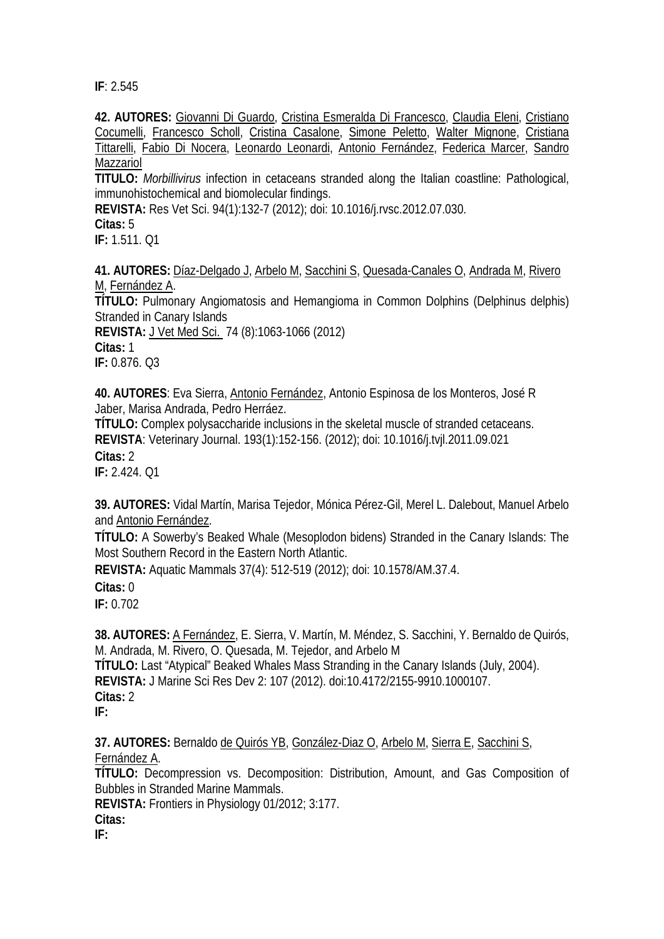**IF**: 2.545

**42. AUTORES:** [Giovanni Di Guardo,](https://www.researchgate.net/researcher/71477072_Giovanni_Di_Guardo/) [Cristina Esmeralda Di Francesco,](https://www.researchgate.net/researcher/43490787_Cristina_Esmeralda_Di_Francesco/) [Claudia Eleni,](https://www.researchgate.net/researcher/18187439_Claudia_Eleni/) [Cristiano](https://www.researchgate.net/researcher/43468934_Cristiano_Cocumelli/)  [Cocumelli,](https://www.researchgate.net/researcher/43468934_Cristiano_Cocumelli/) [Francesco Scholl,](https://www.researchgate.net/researcher/39876011_Francesco_Scholl/) [Cristina Casalone,](https://www.researchgate.net/researcher/39922444_Cristina_Casalone/) [Simone Peletto,](https://www.researchgate.net/researcher/84677144_Simone_Peletto/) [Walter Mignone,](https://www.researchgate.net/researcher/16609579_Walter_Mignone/) [Cristiana](https://www.researchgate.net/researcher/84668136_Cristiana_Tittarelli/)  [Tittarelli,](https://www.researchgate.net/researcher/84668136_Cristiana_Tittarelli/) [Fabio Di Nocera,](https://www.researchgate.net/researcher/84665805_Fabio_Di_Nocera/) [Leonardo Leonardi,](https://www.researchgate.net/researcher/82897520_Leonardo_Leonardi/) Antonio Fernández, [Federica Marcer,](https://www.researchgate.net/researcher/58039378_Federica_Marcer/) [Sandro](https://www.researchgate.net/researcher/13983412_Sandro_Mazzariol/)  **[Mazzariol](https://www.researchgate.net/researcher/13983412_Sandro_Mazzariol/)** 

**TITULO:** *Morbillivirus* [infection in cetaceans stranded along the Italian coastline: Pathological,](https://www.researchgate.net/publication/230743209_Morbillivirus_infection_in_cetaceans_stranded_along_the_Italian_coastline_Pathological_immunohistochemical_and_biomolecular_findings?ev=prf_pub)  [immunohistochemical and biomolecular findings.](https://www.researchgate.net/publication/230743209_Morbillivirus_infection_in_cetaceans_stranded_along_the_Italian_coastline_Pathological_immunohistochemical_and_biomolecular_findings?ev=prf_pub)

**REVISTA:** Res Vet Sci. 94(1):132-7 (2012); doi: 10.1016/j.rvsc.2012.07.030.

**Citas:** 5

**IF:** 1.511. Q1

**41. AUTORES:** [Díaz-Delgado J,](http://www.ncbi.nlm.nih.gov/pubmed?term=D%C3%ADaz-Delgado%20J%5BAuthor%5D&cauthor=true&cauthor_uid=22467071) [Arbelo M,](http://www.ncbi.nlm.nih.gov/pubmed?term=Arbelo%20M%5BAuthor%5D&cauthor=true&cauthor_uid=22467071) [Sacchini S,](http://www.ncbi.nlm.nih.gov/pubmed?term=Sacchini%20S%5BAuthor%5D&cauthor=true&cauthor_uid=22467071) [Quesada-Canales O,](http://www.ncbi.nlm.nih.gov/pubmed?term=Quesada-Canales%20O%5BAuthor%5D&cauthor=true&cauthor_uid=22467071) [Andrada M,](http://www.ncbi.nlm.nih.gov/pubmed?term=Andrada%20M%5BAuthor%5D&cauthor=true&cauthor_uid=22467071) [Rivero](http://www.ncbi.nlm.nih.gov/pubmed?term=Rivero%20M%5BAuthor%5D&cauthor=true&cauthor_uid=22467071)  [M,](http://www.ncbi.nlm.nih.gov/pubmed?term=Rivero%20M%5BAuthor%5D&cauthor=true&cauthor_uid=22467071) [Fernández A.](http://www.ncbi.nlm.nih.gov/pubmed?term=Fern%C3%A1ndez%20A%5BAuthor%5D&cauthor=true&cauthor_uid=22467071)

**TÍTULO:** Pulmonary Angiomatosis and Hemangioma in Common Dolphins (Delphinus delphis) Stranded in Canary Islands

**REVISTA:** [J Vet Med Sci.](http://www.ncbi.nlm.nih.gov/pubmed/22467071) 74 (8):1063-1066 (2012) **Citas:** 1 **IF:** 0.876. Q3

**40. AUTORES**: Eva Sierra, Antonio Fernández, Antonio Espinosa de los Monteros, José R Jaber, Marisa Andrada, Pedro Herráez.

**TÍTULO:** Complex polysaccharide inclusions in the skeletal muscle of stranded cetaceans. **REVISTA**: Veterinary Journal. 193(1):152-156. (2012); doi: 10.1016/j.tvjl.2011.09.021 **Citas:** 2 **IF:** 2.424. Q1

**39. AUTORES:** Vidal Martín, Marisa Tejedor, Mónica Pérez-Gil, Merel L. Dalebout, Manuel Arbelo and Antonio Fernández.

**TÍTULO:** A Sowerby's Beaked Whale (Mesoplodon bidens) Stranded in the Canary Islands: The Most Southern Record in the Eastern North Atlantic.

**REVISTA:** Aquatic Mammals 37(4): 512-519 (2012); doi: 10.1578/AM.37.4.

**Citas:** 0

**IF:** 0.702

**38. AUTORES:** A Fernández, E. Sierra, V. Martín, M. Méndez, S. Sacchini, Y. Bernaldo de Quirós, M. Andrada, M. Rivero, O. Quesada, M. Tejedor, and Arbelo M **TÍTULO:** Last "Atypical" Beaked Whales Mass Stranding in the Canary Islands (July, 2004). **REVISTA:** J Marine Sci Res Dev 2: 107 (2012). doi:10.4172/2155-9910.1000107. **Citas:** 2 **IF:** 

**37. AUTORES:** Bernald[o de Quirós YB,](http://www.ncbi.nlm.nih.gov/pubmed?term=de%20Quir%C3%B3s%20YB%5BAuthor%5D&cauthor=true&cauthor_uid=22675306) [González-Diaz O,](http://www.ncbi.nlm.nih.gov/pubmed?term=Gonz%C3%A1lez-Diaz%20O%5BAuthor%5D&cauthor=true&cauthor_uid=22675306) [Arbelo M,](http://www.ncbi.nlm.nih.gov/pubmed?term=Arbelo%20M%5BAuthor%5D&cauthor=true&cauthor_uid=22675306) [Sierra E,](http://www.ncbi.nlm.nih.gov/pubmed?term=Sierra%20E%5BAuthor%5D&cauthor=true&cauthor_uid=22675306) [Sacchini S,](http://www.ncbi.nlm.nih.gov/pubmed?term=Sacchini%20S%5BAuthor%5D&cauthor=true&cauthor_uid=22675306) [Fernández A.](http://www.ncbi.nlm.nih.gov/pubmed?term=Fern%C3%A1ndez%20A%5BAuthor%5D&cauthor=true&cauthor_uid=22675306)

**TÍTULO:** Decompression vs. Decomposition: Distribution, Amount, and Gas Composition of Bubbles in Stranded Marine Mammals.

**REVISTA:** Frontiers in Physiology 01/2012; 3:177.

**Citas:**

**IF:**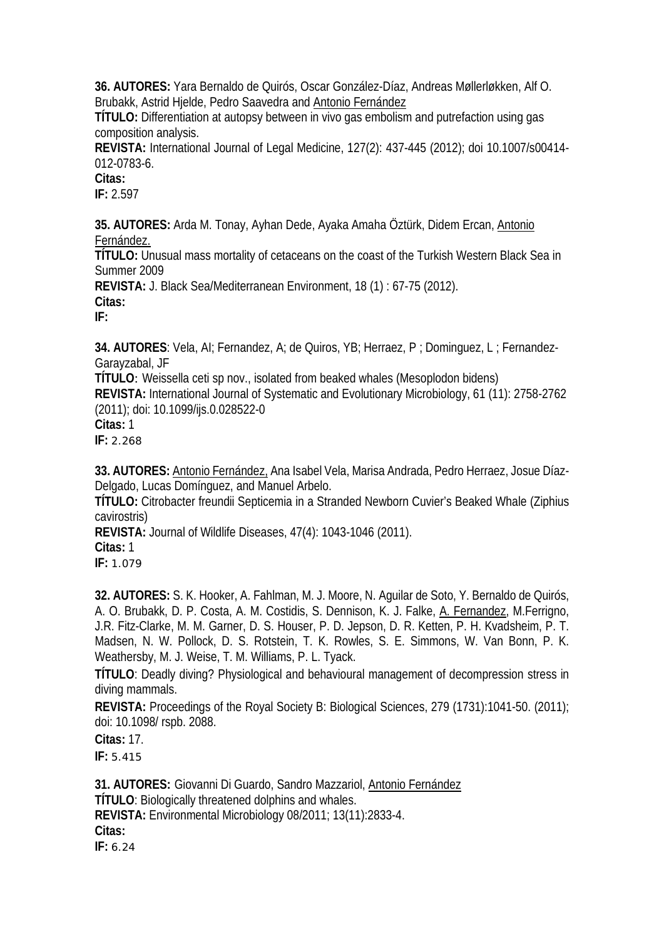**36. AUTORES:** Yara Bernaldo de Quirós, Oscar González-Díaz, Andreas Møllerløkken, Alf O. Brubakk, Astrid Hjelde, Pedro Saavedra and Antonio Fernández

**TÍTULO:** Differentiation at autopsy between in vivo gas embolism and putrefaction using gas composition analysis.

**REVISTA:** International Journal of Legal Medicine, 127(2): 437-445 (2012); doi 10.1007/s00414- 012-0783-6.

**Citas:** 

**IF:** 2.597

**35. AUTORES:** Arda M. Tonay, Ayhan Dede, Ayaka Amaha Öztürk, Didem Ercan, Antonio Fernández.

**TÍTULO:** Unusual mass mortality of cetaceans on the coast of the Turkish Western Black Sea in Summer 2009

**REVISTA:** J. Black Sea/Mediterranean Environment, 18 (1) : 67-75 (2012).

**Citas:** 

**IF:**

**34. AUTORES**: [Vela, AI;](http://apps.webofknowledge.com/OneClickSearch.do?product=UA&search_mode=OneClickSearch&colName=WOS&SID=W1@AglEGpa43bphBH@7&field=AU&value=Vela,%20AI) [Fernandez, A;](http://apps.webofknowledge.com/OneClickSearch.do?product=UA&search_mode=OneClickSearch&colName=WOS&SID=W1@AglEGpa43bphBH@7&field=AU&value=Fernandez,%20A) [de Quiros, YB;](http://apps.webofknowledge.com/OneClickSearch.do?product=UA&search_mode=OneClickSearch&colName=WOS&SID=W1@AglEGpa43bphBH@7&field=AU&value=de%20Quiros,%20YB) [Herraez, P ;](http://apps.webofknowledge.com/OneClickSearch.do?product=UA&search_mode=OneClickSearch&colName=WOS&SID=W1@AglEGpa43bphBH@7&field=AU&value=Herraez,%20P) [Dominguez, L ;](http://apps.webofknowledge.com/OneClickSearch.do?product=UA&search_mode=OneClickSearch&colName=WOS&SID=W1@AglEGpa43bphBH@7&field=AU&value=Dominguez,%20L) [Fernandez-](http://apps.webofknowledge.com/OneClickSearch.do?product=UA&search_mode=OneClickSearch&colName=WOS&SID=W1@AglEGpa43bphBH@7&field=AU&value=Fernandez-Garayzabal,%20JF)[Garayzabal, JF](http://apps.webofknowledge.com/OneClickSearch.do?product=UA&search_mode=OneClickSearch&colName=WOS&SID=W1@AglEGpa43bphBH@7&field=AU&value=Fernandez-Garayzabal,%20JF) 

**TÍTULO**: Weissella ceti sp nov., isolated from beaked whales (Mesoplodon bidens)

**REVISTA:** International Journal of Systematic and Evolutionary Microbiology, 61 (11): 2758-2762 (2011); doi: 10.1099/ijs.0.028522-0

**Citas:** 1

**IF:** 2.268

**33. AUTORES:** Antonio Fernández, Ana Isabel Vela, Marisa Andrada, Pedro Herraez, Josue Díaz-Delgado, Lucas Domínguez, and Manuel Arbelo.

**TÍTULO:** Citrobacter freundii Septicemia in a Stranded Newborn Cuvier's Beaked Whale (Ziphius cavirostris)

**REVISTA:** Journal of Wildlife Diseases, 47(4): 1043-1046 (2011).

**Citas:** 1

**IF:** 1.079

**32. AUTORES:** S. K. Hooker, A. Fahlman, M. J. Moore, N. Aguilar de Soto, Y. Bernaldo de Quirós, A. O. Brubakk, D. P. Costa, A. M. Costidis, S. Dennison, K. J. Falke, A. Fernandez, M. Ferrigno, J.R. Fitz-Clarke, M. M. Garner, D. S. Houser, P. D. Jepson, D. R. Ketten, P. H. Kvadsheim, P. T. Madsen, N. W. Pollock, D. S. Rotstein, T. K. Rowles, S. E. Simmons, W. Van Bonn, P. K. Weathersby, M. J. Weise, T. M. Williams, P. L. Tyack.

**TÍTULO**: Deadly diving? Physiological and behavioural management of decompression stress in diving mammals.

**REVISTA:** Proceedings of the Royal Society B: Biological Sciences, 279 (1731):1041-50. (2011); doi: 10.1098/ rspb. 2088.

**Citas:** 17.

**IF:** 5.415

**31. AUTORES:** Giovanni Di Guardo, Sandro Mazzariol, Antonio Fernández **TÍTULO**: Biologically threatened dolphins and whales. **REVISTA:** Environmental Microbiology 08/2011; 13(11):2833-4. **Citas: IF:** 6.24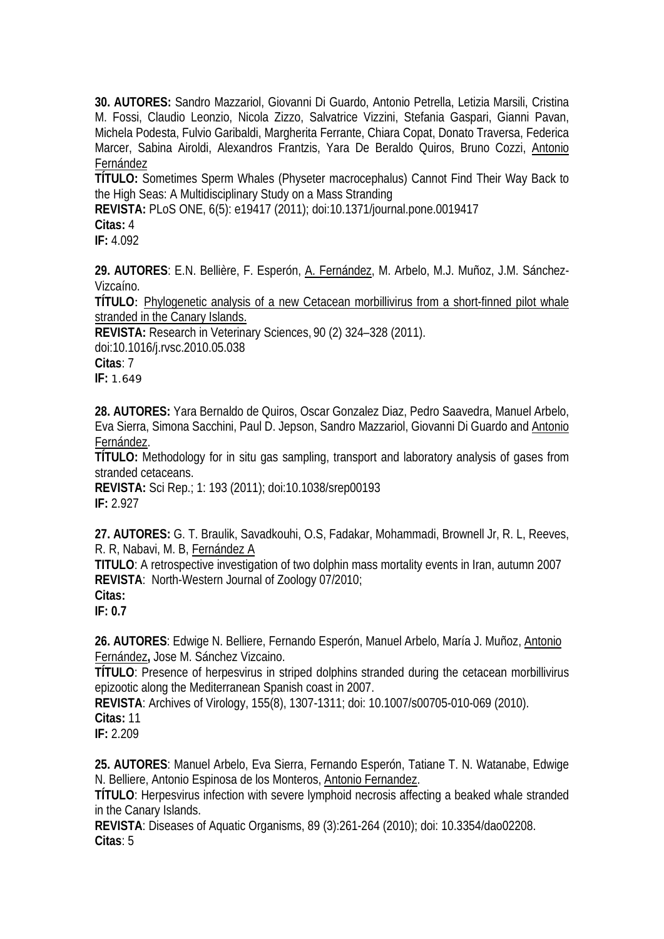**30. AUTORES:** Sandro Mazzariol, Giovanni Di Guardo, Antonio Petrella, Letizia Marsili, Cristina M. Fossi, Claudio Leonzio, Nicola Zizzo, Salvatrice Vizzini, Stefania Gaspari, Gianni Pavan, Michela Podesta, Fulvio Garibaldi, Margherita Ferrante, Chiara Copat, Donato Traversa, Federica Marcer, Sabina Airoldi, Alexandros Frantzis, Yara De Beraldo Quiros, Bruno Cozzi, Antonio Fernández

**TÍTULO:** Sometimes Sperm Whales (Physeter macrocephalus) Cannot Find Their Way Back to the High Seas: A Multidisciplinary Study on a Mass Stranding

**REVISTA:** PLoS ONE, 6(5): e19417 (2011); doi:10.1371/journal.pone.0019417

**Citas:** 4

**IF:** 4.092

**29. AUTORES**: E.N. Bellière, F. Esperón, A. Fernández, M. Arbelo, M.J. Muñoz, J.M. Sánchez-Vizcaíno.

**TÍTULO**: [Phylogenetic analysis of a new Cetacean morbillivirus from a short-finned pilot whale](http://www.ncbi.nlm.nih.gov/pubmed/20576281)  [stranded in the Canary Islands.](http://www.ncbi.nlm.nih.gov/pubmed/20576281)

**REVISTA:** Research in Veterinary Sciences, 90 (2) 324–328 (2011). doi:10.1016/j.rvsc.2010.05.038 **Citas**: 7 **IF:** 1.649

**28. AUTORES:** Yara Bernaldo de Quiros, Oscar Gonzalez Diaz, Pedro Saavedra, Manuel Arbelo, Eva Sierra, Simona Sacchini, Paul D. Jepson, Sandro Mazzariol, Giovanni Di Guardo and Antonio Fernández.

**TÍTULO:** Methodology for in situ gas sampling, transport and laboratory analysis of gases from stranded cetaceans.

**REVISTA:** Sci Rep.; 1: 193 (2011); doi:10.1038/srep00193 **IF:** 2.927

**27. AUTORES:** G. T. Braulik, Savadkouhi, O.S, Fadakar, Mohammadi, Brownell Jr, R. L, Reeves, R. R, Nabavi, M. B, Fernández A

**TITULO**: A retrospective investigation of two dolphin mass mortality events in Iran, autumn 2007 **REVISTA**: North-Western Journal of Zoology 07/2010;

**IF: 0.7**

**26. AUTORES**: Edwige N. Belliere, Fernando Esperón, Manuel Arbelo, María J. Muñoz, Antonio Fernández**,** Jose M. Sánchez Vizcaino.

**TÍTULO**: Presence of herpesvirus in striped dolphins stranded during the cetacean morbillivirus epizootic along the Mediterranean Spanish coast in 2007.

**REVISTA**: Archives of Virology, 155(8), 1307-1311; doi: 10.1007/s00705-010-069 (2010). **Citas:** 11

**IF:** 2.209

**25. AUTORES**: Manuel Arbelo, Eva Sierra, Fernando Esperón, Tatiane T. N. Watanabe, Edwige N. Belliere, Antonio Espinosa de los Monteros, Antonio Fernandez.

**TÍTULO**: Herpesvirus infection with severe lymphoid necrosis affecting a beaked whale stranded in the Canary Islands.

**REVISTA**: Diseases of Aquatic Organisms, 89 (3):261-264 (2010); doi: 10.3354/dao02208. **Citas**: 5

**Citas:**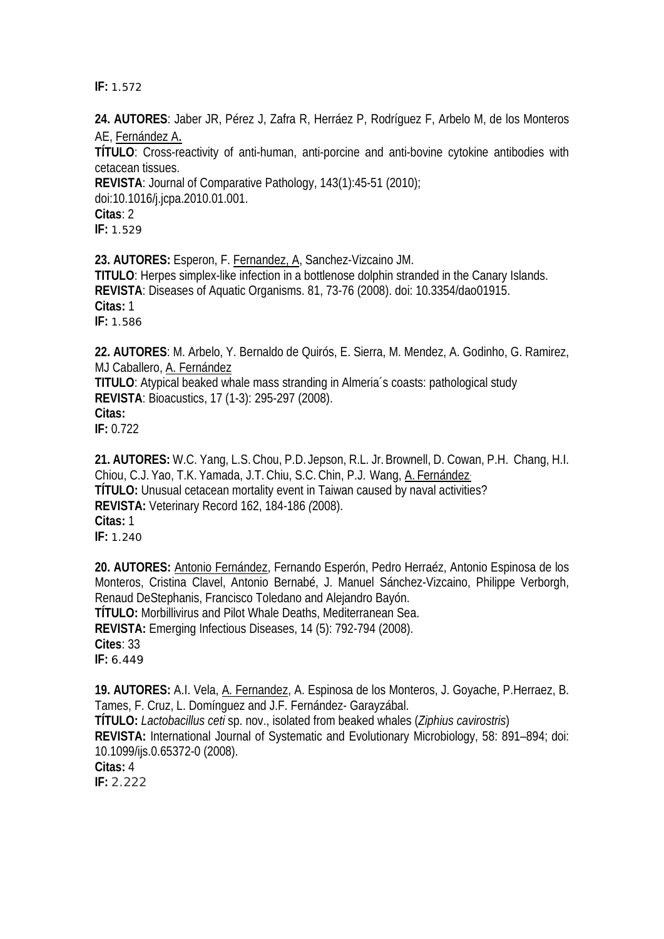**IF:** 1.572

**24. AUTORES**: Jaber JR, Pérez J, Zafra R, Herráez P, Rodríguez F, Arbelo M, de los Monteros AE, Fernández A.

**TÍTULO**: Cross-reactivity of anti-human, anti-porcine and anti-bovine cytokine antibodies with cetacean tissues.

**REVISTA**: Journal of Comparative Pathology, 143(1):45-51 (2010); doi:10.1016/j.jcpa.2010.01.001. **Citas**: 2 **IF:** 1.529

**23. AUTORES:** Esperon, F. Fernandez, A, Sanchez-Vizcaino JM. **TITULO**: Herpes simplex-like infection in a bottlenose dolphin stranded in the Canary Islands. **REVISTA**: Diseases of Aquatic Organisms. 81, 73-76 (2008). doi: 10.3354/dao01915. **Citas:** 1 **IF:** 1.586

**22. AUTORES**: M. Arbelo, Y. Bernaldo de Quirós, E. Sierra, M. Mendez, A. Godinho, G. Ramirez, MJ Caballero, A. Fernández

**TITULO**: Atypical beaked whale mass stranding in Almeria´s coasts: pathological study **REVISTA**: Bioacustics, 17 (1-3): 295-297 (2008). **Citas:**

**IF:** 0.722

**21. AUTORES:** W.C. Yang, L.S.Chou, P.D. Jepson, R.L. Jr.Brownell, D. Cowan, P.H. Chang, H.I. Chiou, C.J. Yao, T.K. Yamada, J.T. Chiu, S.C. Chin, P.J. Wang, A. Fernández. **TÍTULO:** Unusual cetacean mortality event in Taiwan caused by naval activities? **REVISTA:** Veterinary Record 162, 184-186 *(*2008). **Citas:** 1 **IF:** 1.240

**20. AUTORES:** Antonio Fernández, Fernando Esperón, Pedro Herraéz, Antonio Espinosa de los Monteros, Cristina Clavel, Antonio Bernabé, J. Manuel Sánchez-Vizcaino, Philippe Verborgh, Renaud DeStephanis, Francisco Toledano and Alejandro Bayón. **TÍTULO:** Morbillivirus and Pilot Whale Deaths, Mediterranean Sea. **REVISTA:** Emerging Infectious Diseases, 14 (5): 792-794 (2008). **Cites**: 33 **IF:** 6.449

**19. AUTORES:** A.I. Vela, A. Fernandez, A. Espinosa de los Monteros, J. Goyache, P.Herraez, B. Tames, F. Cruz, L. Domínguez and J.F. Fernández- Garayzábal. **TÍTULO:** *Lactobacillus ceti* sp. nov., isolated from beaked whales (*Ziphius cavirostris*) **REVISTA:** International Journal of Systematic and Evolutionary Microbiology, 58: 891–894; doi: 10.1099/ijs.0.65372-0 (2008).

**Citas:** 4

**IF:** 2.222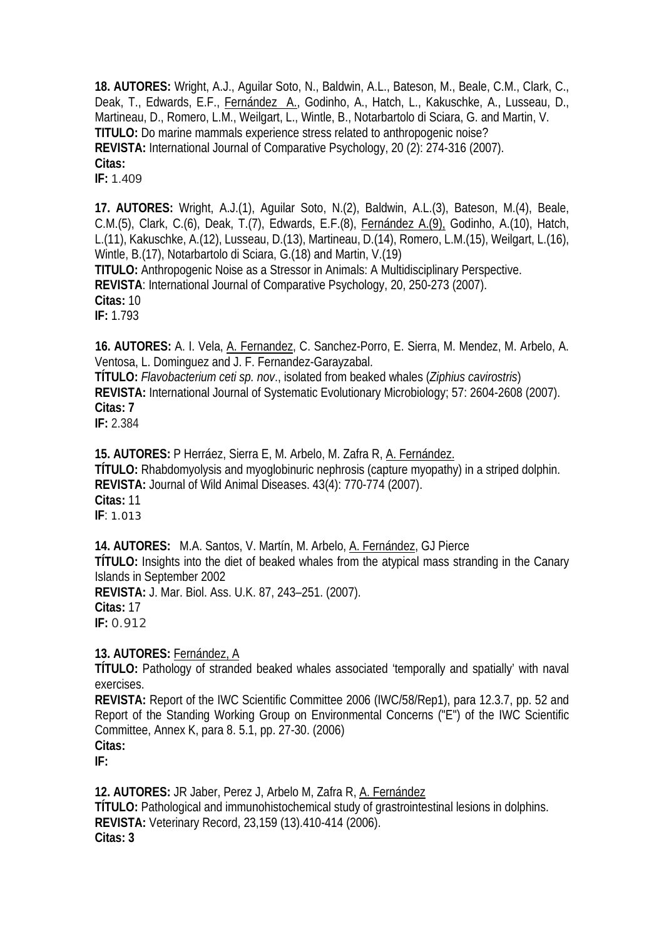**18. AUTORES:** Wright, A.J., Aguilar Soto, N., Baldwin, A.L., Bateson, M., Beale, C.M., Clark, C., Deak, T., Edwards, E.F., Fernández A., Godinho, A., Hatch, L., Kakuschke, A., Lusseau, D., Martineau, D., Romero, L.M., Weilgart, L., Wintle, B., Notarbartolo di Sciara, G. and Martin, V. **TITULO:** Do marine mammals experience stress related to anthropogenic noise? **REVISTA:** International Journal of Comparative Psychology, 20 (2): 274-316 (2007). **Citas:**

**IF:** 1.409

**17. AUTORES:** Wright, A.J.(1), Aguilar Soto, N.(2), Baldwin, A.L.(3), Bateson, M.(4), Beale, C.M.(5), Clark, C.(6), Deak, T.(7), Edwards, E.F.(8), Fernández A.(9), Godinho, A.(10), Hatch, L.(11), Kakuschke, A.(12), Lusseau, D.(13), Martineau, D.(14), Romero, L.M.(15), Weilgart, L.(16), Wintle, B.(17), Notarbartolo di Sciara, G.(18) and Martin, V.(19) **TITULO:** Anthropogenic Noise as a Stressor in Animals: A Multidisciplinary Perspective. **REVISTA**: International Journal of Comparative Psychology, 20, 250-273 (2007). **Citas:** 10 **IF:** 1.793

**16. AUTORES:** A. I. Vela, A. Fernandez, C. Sanchez-Porro, E. Sierra, M. Mendez, M. Arbelo, A. Ventosa, L. Dominguez and J. F. Fernandez-Garayzabal.

**TÍTULO:** *Flavobacterium ceti sp. nov*., isolated from beaked whales (*Ziphius cavirostris*) **REVISTA:** International Journal of Systematic Evolutionary Microbiology; 57: 2604-2608 (2007). **Citas: 7**

**IF:** 2.384

**15. AUTORES:** P Herráez, Sierra E, M. Arbelo, M. Zafra R, A. Fernández. **TÍTULO:** Rhabdomyolysis and myoglobinuric nephrosis (capture myopathy) in a striped dolphin. **REVISTA:** Journal of Wild Animal Diseases. 43(4): 770-774 (2007). **Citas:** 11 **IF**: 1.013

**14. AUTORES:** M.A. Santos, V. Martín, M. Arbelo, A. Fernández, GJ Pierce **TÍTULO:** Insights into the diet of beaked whales from the atypical mass stranding in the Canary Islands in September 2002 **REVISTA:** J. Mar. Biol. Ass. U.K. 87, 243–251. (2007). **Citas:** 17 **IF:** 0.912

## **13. AUTORES:** Fernández, A

**TÍTULO:** Pathology of stranded beaked whales associated 'temporally and spatially' with naval exercises.

**REVISTA:** Report of the IWC Scientific Committee 2006 (IWC/58/Rep1), para 12.3.7, pp. 52 and Report of the Standing Working Group on Environmental Concerns ("E") of the IWC Scientific Committee, Annex K, para 8. 5.1, pp. 27-30. (2006) **Citas:** 

**IF:**

**12. AUTORES:** JR Jaber, Perez J, Arbelo M, Zafra R, A. Fernández **TÍTULO:** Pathological and immunohistochemical study of grastrointestinal lesions in dolphins. **REVISTA:** Veterinary Record, 23,159 (13).410-414 (2006). **Citas: 3**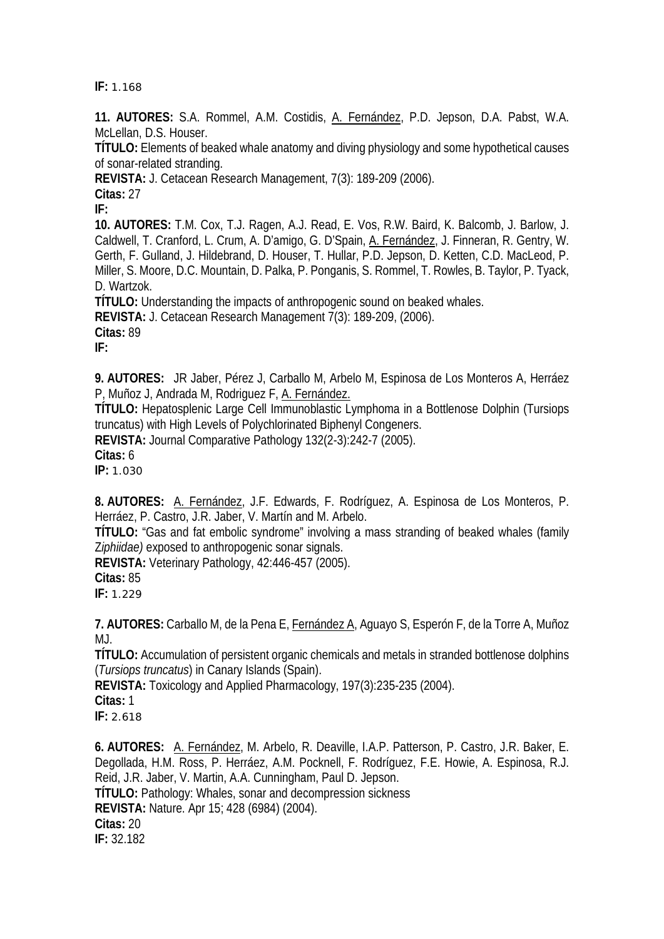**IF:** 1.168

**11. AUTORES:** S.A. Rommel, A.M. Costidis, A. Fernández, P.D. Jepson, D.A. Pabst, W.A. McLellan, D.S. Houser.

**TÍTULO:** Elements of beaked whale anatomy and diving physiology and some hypothetical causes of sonar-related stranding.

**REVISTA:** J. Cetacean Research Management, 7(3): 189-209 (2006).

**Citas:** 27

**IF:** 

**10. AUTORES:** T.M. Cox, T.J. Ragen, A.J. Read, E. Vos, R.W. Baird, K. Balcomb, J. Barlow, J. Caldwell, T. Cranford, L. Crum, A. D'amigo, G. D'Spain, A. Fernández, J. Finneran, R. Gentry, W. Gerth, F. Gulland, J. Hildebrand, D. Houser, T. Hullar, P.D. Jepson, D. Ketten, C.D. MacLeod, P. Miller, S. Moore, D.C. Mountain, D. Palka, P. Ponganis, S. Rommel, T. Rowles, B. Taylor, P. Tyack, D. Wartzok.

**TÍTULO:** Understanding the impacts of anthropogenic sound on beaked whales.

**REVISTA:** J. Cetacean Research Management 7(3): 189-209, (2006).

**Citas:** 89

**IF:** 

**9. AUTORES:** JR Jaber, Pérez J, Carballo M, Arbelo M, Espinosa de Los Monteros A, Herráez P, Muñoz J, Andrada M, Rodriguez F, A. Fernández.

**TÍTULO:** Hepatosplenic Large Cell Immunoblastic Lymphoma in a Bottlenose Dolphin (Tursiops truncatus) with High Levels of Polychlorinated Biphenyl Congeners.

**REVISTA:** Journal Comparative Pathology 132(2-3):242-7 (2005).

**Citas:** 6

**IP:** 1.030

**8. AUTORES:** A. Fernández, J.F. Edwards, F. Rodríguez, A. Espinosa de Los Monteros, P. Herráez, P. Castro, J.R. Jaber, V. Martín and M. Arbelo.

**TÍTULO:** "Gas and fat embolic syndrome" involving a mass stranding of beaked whales (family Z*iphiidae)* exposed to anthropogenic sonar signals.

**REVISTA:** Veterinary Pathology, 42:446-457 (2005).

**Citas:** 85

**IF:** 1.229

**7. AUTORES:** Carballo M, de la Pena E, Fernández A, Aguayo S, Esperón F, de la Torre A, Muñoz MJ.

**TÍTULO:** Accumulation of persistent organic chemicals and metals in stranded bottlenose dolphins (*Tursiops truncatus*) in Canary Islands (Spain).

**REVISTA:** Toxicology and Applied Pharmacology, 197(3):235-235 (2004).

**Citas:** 1

**IF:** 2.618

**6. AUTORES:** A. Fernández, M. Arbelo, R. Deaville, I.A.P. Patterson, P. Castro, J.R. Baker, E. Degollada, H.M. Ross, P. Herráez, A.M. Pocknell, F. Rodríguez, F.E. Howie, A. Espinosa, R.J. Reid, J.R. Jaber, V. Martin, A.A. Cunningham, Paul D. Jepson. **TÍTULO:** Pathology: Whales, sonar and decompression sickness **REVISTA:** Nature. Apr 15; 428 (6984) (2004). **Citas:** 20 **IF:** 32.182